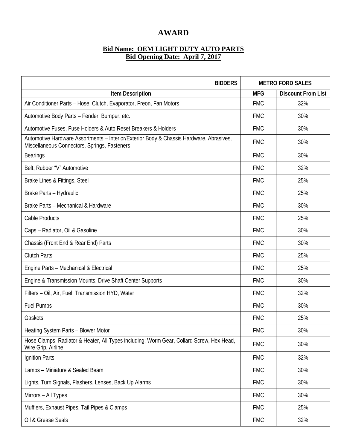## **AWARD**

## **Bid Name: OEM LIGHT DUTY AUTO PARTS Bid Opening Date: April 7, 2017**

| <b>BIDDERS</b>                                                                                                                          | <b>METRO FORD SALES</b> |                           |
|-----------------------------------------------------------------------------------------------------------------------------------------|-------------------------|---------------------------|
| <b>Item Description</b>                                                                                                                 | <b>MFG</b>              | <b>Discount From List</b> |
| Air Conditioner Parts - Hose, Clutch, Evaporator, Freon, Fan Motors                                                                     | <b>FMC</b>              | 32%                       |
| Automotive Body Parts - Fender, Bumper, etc.                                                                                            | <b>FMC</b>              | 30%                       |
| Automotive Fuses, Fuse Holders & Auto Reset Breakers & Holders                                                                          | <b>FMC</b>              | 30%                       |
| Automotive Hardware Assortments - Interior/Exterior Body & Chassis Hardware, Abrasives,<br>Miscellaneous Connectors, Springs, Fasteners | <b>FMC</b>              | 30%                       |
| <b>Bearings</b>                                                                                                                         | <b>FMC</b>              | 30%                       |
| Belt, Rubber "V" Automotive                                                                                                             | <b>FMC</b>              | 32%                       |
| Brake Lines & Fittings, Steel                                                                                                           | <b>FMC</b>              | 25%                       |
| Brake Parts - Hydraulic                                                                                                                 | <b>FMC</b>              | 25%                       |
| Brake Parts - Mechanical & Hardware                                                                                                     | <b>FMC</b>              | 30%                       |
| Cable Products                                                                                                                          | <b>FMC</b>              | 25%                       |
| Caps - Radiator, Oil & Gasoline                                                                                                         | <b>FMC</b>              | 30%                       |
| Chassis (Front End & Rear End) Parts                                                                                                    | <b>FMC</b>              | 30%                       |
| <b>Clutch Parts</b>                                                                                                                     | <b>FMC</b>              | 25%                       |
| Engine Parts - Mechanical & Electrical                                                                                                  | <b>FMC</b>              | 25%                       |
| Engine & Transmission Mounts, Drive Shaft Center Supports                                                                               | <b>FMC</b>              | 30%                       |
| Filters - Oil, Air, Fuel, Transmission HYD, Water                                                                                       | <b>FMC</b>              | 32%                       |
| <b>Fuel Pumps</b>                                                                                                                       | <b>FMC</b>              | 30%                       |
| Gaskets                                                                                                                                 | <b>FMC</b>              | 25%                       |
| Heating System Parts - Blower Motor                                                                                                     | <b>FMC</b>              | 30%                       |
| Hose Clamps, Radiator & Heater, All Types including: Worm Gear, Collard Screw, Hex Head,<br>Wire Grip, Airline                          | <b>FMC</b>              | 30%                       |
| Ignition Parts                                                                                                                          | <b>FMC</b>              | 32%                       |
| Lamps - Miniature & Sealed Beam                                                                                                         | <b>FMC</b>              | 30%                       |
| Lights, Turn Signals, Flashers, Lenses, Back Up Alarms                                                                                  | <b>FMC</b>              | 30%                       |
| Mirrors - All Types                                                                                                                     | <b>FMC</b>              | 30%                       |
| Mufflers, Exhaust Pipes, Tail Pipes & Clamps                                                                                            | <b>FMC</b>              | 25%                       |
| Oil & Grease Seals                                                                                                                      | <b>FMC</b>              | 32%                       |